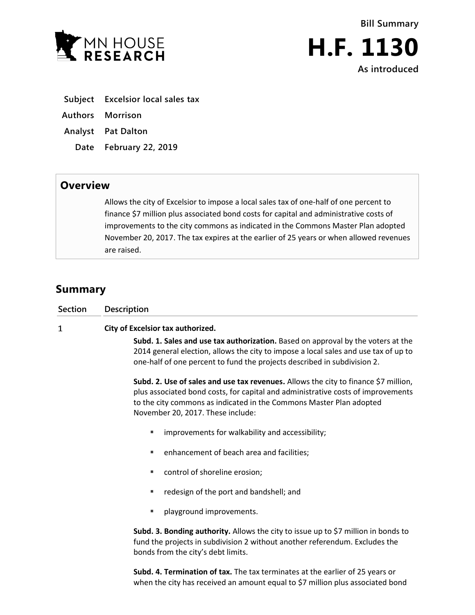



| Subject Excelsior local sales tax |  |  |
|-----------------------------------|--|--|
|                                   |  |  |

- **Authors Morrison**
- **Analyst Pat Dalton**
	- **Date February 22, 2019**

## **Overview**

Allows the city of Excelsior to impose a local sales tax of one-half of one percent to finance \$7 million plus associated bond costs for capital and administrative costs of improvements to the city commons as indicated in the Commons Master Plan adopted November 20, 2017. The tax expires at the earlier of 25 years or when allowed revenues are raised.

## **Summary**

| <b>Section</b> | Description                                                                                                                                                                                                                                                                         |  |  |  |
|----------------|-------------------------------------------------------------------------------------------------------------------------------------------------------------------------------------------------------------------------------------------------------------------------------------|--|--|--|
| 1              | City of Excelsior tax authorized.                                                                                                                                                                                                                                                   |  |  |  |
|                | Subd. 1. Sales and use tax authorization. Based on approval by the voters at the<br>2014 general election, allows the city to impose a local sales and use tax of up to<br>one-half of one percent to fund the projects described in subdivision 2.                                 |  |  |  |
|                | Subd. 2. Use of sales and use tax revenues. Allows the city to finance \$7 million,<br>plus associated bond costs, for capital and administrative costs of improvements<br>to the city commons as indicated in the Commons Master Plan adopted<br>November 20, 2017. These include: |  |  |  |
|                | improvements for walkability and accessibility;                                                                                                                                                                                                                                     |  |  |  |
|                | enhancement of beach area and facilities;                                                                                                                                                                                                                                           |  |  |  |
|                | control of shoreline erosion;                                                                                                                                                                                                                                                       |  |  |  |
|                | redesign of the port and bandshell; and                                                                                                                                                                                                                                             |  |  |  |
|                | playground improvements.                                                                                                                                                                                                                                                            |  |  |  |
|                | Subd. 3. Bonding authority. Allows the city to issue up to \$7 million in bonds to<br>fund the projects in subdivision 2 without another referendum. Excludes the<br>bonds from the city's debt limits.                                                                             |  |  |  |

**Subd. 4. Termination of tax.** The tax terminates at the earlier of 25 years or when the city has received an amount equal to \$7 million plus associated bond